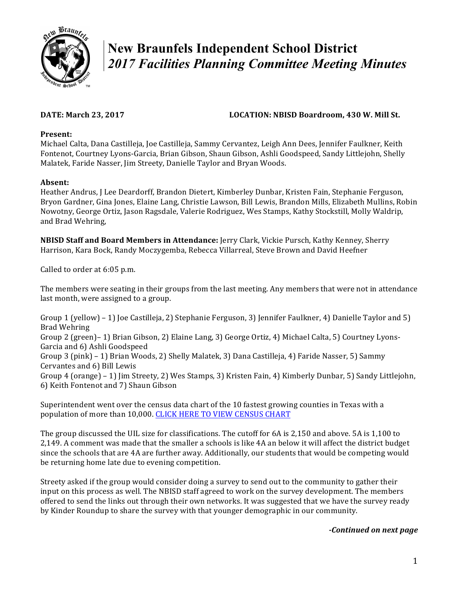

# **New Braunfels Independent School District**  *2017 Facilities Planning Committee Meeting Minutes*

## **DATE:** March 23, 2017 *LOCATION:* **NBISD Boardroom, 430 W. Mill St.**

### **Present:**

Michael Calta, Dana Castilleja, Joe Castilleja, Sammy Cervantez, Leigh Ann Dees, Jennifer Faulkner, Keith Fontenot, Courtney Lyons-Garcia, Brian Gibson, Shaun Gibson, Ashli Goodspeed, Sandy Littlejohn, Shelly Malatek, Faride Nasser, Jim Streety, Danielle Taylor and Bryan Woods.

### **Absent:**

Heather Andrus, J Lee Deardorff, Brandon Dietert, Kimberley Dunbar, Kristen Fain, Stephanie Ferguson, Bryon Gardner, Gina Jones, Elaine Lang, Christie Lawson, Bill Lewis, Brandon Mills, Elizabeth Mullins, Robin Nowotny, George Ortiz, Jason Ragsdale, Valerie Rodriguez, Wes Stamps, Kathy Stockstill, Molly Waldrip, and Brad Wehring,

**NBISD Staff and Board Members in Attendance:** Jerry Clark, Vickie Pursch, Kathy Kenney, Sherry Harrison, Kara Bock, Randy Moczygemba, Rebecca Villarreal, Steve Brown and David Heefner

Called to order at 6:05 p.m.

The members were seating in their groups from the last meeting. Any members that were not in attendance last month, were assigned to a group.

Group 1 (yellow) – 1) Joe Castilleja, 2) Stephanie Ferguson, 3) Jennifer Faulkner, 4) Danielle Taylor and 5) Brad Wehring Group 2 (green)– 1) Brian Gibson, 2) Elaine Lang, 3) George Ortiz, 4) Michael Calta, 5) Courtney Lyons-Garcia and 6) Ashli Goodspeed Group 3 (pink) – 1) Brian Woods, 2) Shelly Malatek, 3) Dana Castilleja, 4) Faride Nasser, 5) Sammy Cervantes and 6) Bill Lewis Group 4 (orange) – 1) Jim Streety, 2) Wes Stamps, 3) Kristen Fain, 4) Kimberly Dunbar, 5) Sandy Littlejohn, 6) Keith Fontenot and 7) Shaun Gibson

Superintendent went over the census data chart of the 10 fastest growing counties in Texas with a population of more than 10,000. CLICK HERE TO VIEW CENSUS CHART

The group discussed the UIL size for classifications. The cutoff for 6A is 2,150 and above. 5A is 1,100 to 2,149. A comment was made that the smaller a schools is like 4A an below it will affect the district budget since the schools that are 4A are further away. Additionally, our students that would be competing would be returning home late due to evening competition.

Streety asked if the group would consider doing a survey to send out to the community to gather their input on this process as well. The NBISD staff agreed to work on the survey development. The members offered to send the links out through their own networks. It was suggested that we have the survey ready by Kinder Roundup to share the survey with that younger demographic in our community.

#### *-Continued on next page*